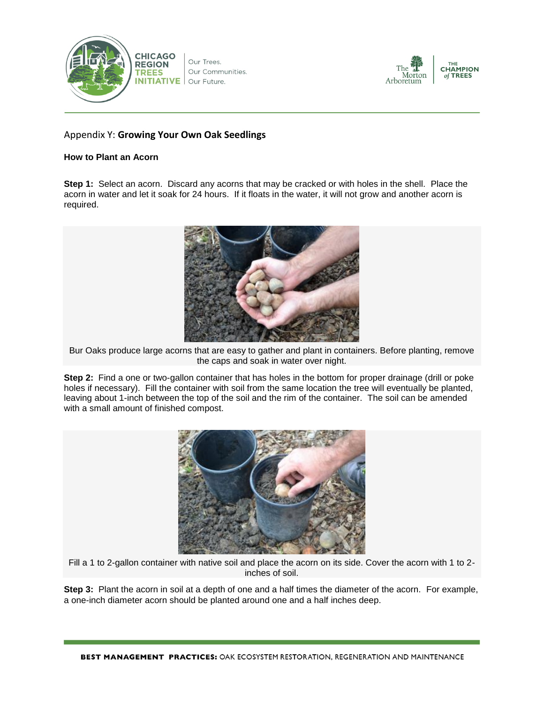

Our Trees. Our Communities. Our Future.



## Appendix Y: **Growing Your Own Oak Seedlings**

## **How to Plant an Acorn**

**Step 1:** Select an acorn. Discard any acorns that may be cracked or with holes in the shell. Place the acorn in water and let it soak for 24 hours. If it floats in the water, it will not grow and another acorn is required.



Bur Oaks produce large acorns that are easy to gather and plant in containers. Before planting, remove the caps and soak in water over night.

**Step 2:** Find a one or two-gallon container that has holes in the bottom for proper drainage (drill or poke holes if necessary). Fill the container with soil from the same location the tree will eventually be planted, leaving about 1-inch between the top of the soil and the rim of the container. The soil can be amended with a small amount of finished compost.



Fill a 1 to 2-gallon container with native soil and place the acorn on its side. Cover the acorn with 1 to 2 inches of soil.

**Step 3:** Plant the acorn in soil at a depth of one and a half times the diameter of the acorn. For example, a one-inch diameter acorn should be planted around one and a half inches deep.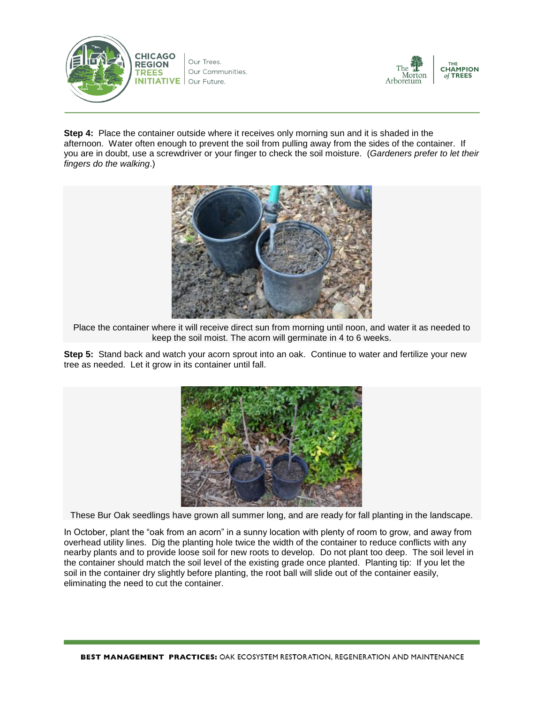



**Step 4:** Place the container outside where it receives only morning sun and it is shaded in the afternoon. Water often enough to prevent the soil from pulling away from the sides of the container. If you are in doubt, use a screwdriver or your finger to check the soil moisture. (*Gardeners prefer to let their fingers do the walking*.)



Place the container where it will receive direct sun from morning until noon, and water it as needed to keep the soil moist. The acorn will germinate in 4 to 6 weeks.

**Step 5:** Stand back and watch your acorn sprout into an oak. Continue to water and fertilize your new tree as needed. Let it grow in its container until fall.



These Bur Oak seedlings have grown all summer long, and are ready for fall planting in the landscape.

In October, plant the "oak from an acorn" in a sunny location with plenty of room to grow, and away from overhead utility lines. Dig the planting hole twice the width of the container to reduce conflicts with any nearby plants and to provide loose soil for new roots to develop. Do not plant too deep. The soil level in the container should match the soil level of the existing grade once planted. Planting tip: If you let the soil in the container dry slightly before planting, the root ball will slide out of the container easily, eliminating the need to cut the container.